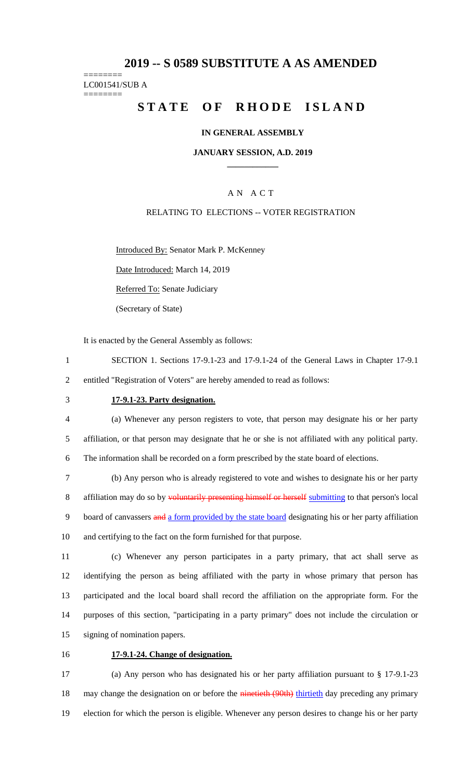# **2019 -- S 0589 SUBSTITUTE A AS AMENDED**

#### ======== LC001541/SUB A ========

# **STATE OF RHODE ISLAND**

### **IN GENERAL ASSEMBLY**

### **JANUARY SESSION, A.D. 2019 \_\_\_\_\_\_\_\_\_\_\_\_**

# A N A C T

### RELATING TO ELECTIONS -- VOTER REGISTRATION

Introduced By: Senator Mark P. McKenney

Date Introduced: March 14, 2019

Referred To: Senate Judiciary

(Secretary of State)

It is enacted by the General Assembly as follows:

- 1 SECTION 1. Sections 17-9.1-23 and 17-9.1-24 of the General Laws in Chapter 17-9.1 2 entitled "Registration of Voters" are hereby amended to read as follows:
- 

#### 3 **17-9.1-23. Party designation.**

4 (a) Whenever any person registers to vote, that person may designate his or her party 5 affiliation, or that person may designate that he or she is not affiliated with any political party. 6 The information shall be recorded on a form prescribed by the state board of elections.

7 (b) Any person who is already registered to vote and wishes to designate his or her party 8 affiliation may do so by voluntarily presenting himself or herself submitting to that person's local 9 board of canvassers and a form provided by the state board designating his or her party affiliation 10 and certifying to the fact on the form furnished for that purpose.

 (c) Whenever any person participates in a party primary, that act shall serve as identifying the person as being affiliated with the party in whose primary that person has participated and the local board shall record the affiliation on the appropriate form. For the purposes of this section, "participating in a party primary" does not include the circulation or signing of nomination papers.

# 16 **17-9.1-24. Change of designation.**

17 (a) Any person who has designated his or her party affiliation pursuant to § 17-9.1-23 18 may change the designation on or before the ninetieth (90th) thirtieth day preceding any primary 19 election for which the person is eligible. Whenever any person desires to change his or her party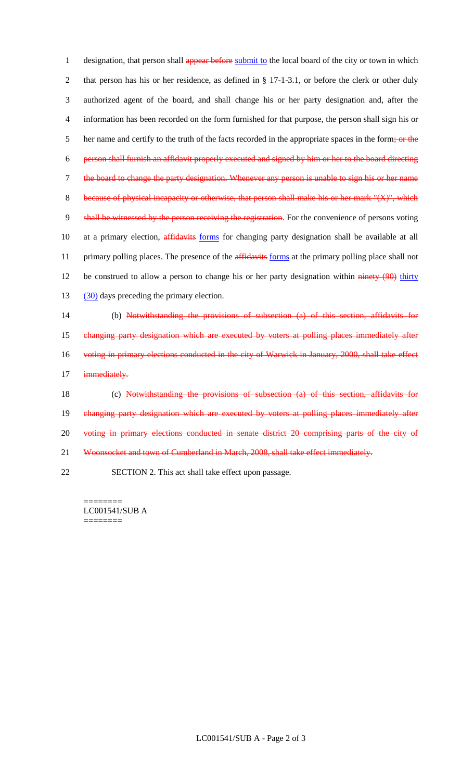1 designation, that person shall appear before submit to the local board of the city or town in which 2 that person has his or her residence, as defined in § 17-1-3.1, or before the clerk or other duly 3 authorized agent of the board, and shall change his or her party designation and, after the 4 information has been recorded on the form furnished for that purpose, the person shall sign his or 5 her name and certify to the truth of the facts recorded in the appropriate spaces in the form; or the 6 person shall furnish an affidavit properly executed and signed by him or her to the board directing 7 the board to change the party designation. Whenever any person is unable to sign his or her name 8 because of physical incapacity or otherwise, that person shall make his or her mark "(X)", which 9 shall be witnessed by the person receiving the registration. For the convenience of persons voting 10 at a primary election, affidavits forms for changing party designation shall be available at all 11 primary polling places. The presence of the **affidavits** forms at the primary polling place shall not 12 be construed to allow a person to change his or her party designation within ninety (90) thirty 13 (30) days preceding the primary election.

14 (b) Notwithstanding the provisions of subsection (a) of this section, affidavits for 15 changing party designation which are executed by voters at polling places immediately after 16 voting in primary elections conducted in the city of Warwick in January, 2000, shall take effect 17 immediately. 18 (c) Notwithstanding the provisions of subsection (a) of this section, affidavits for

19 changing party designation which are executed by voters at polling places immediately after 20 voting in primary elections conducted in senate district 20 comprising parts of the city of

21 Woonsocket and town of Cumberland in March, 2008, shall take effect immediately.

22 SECTION 2. This act shall take effect upon passage.

======== LC001541/SUB A ========